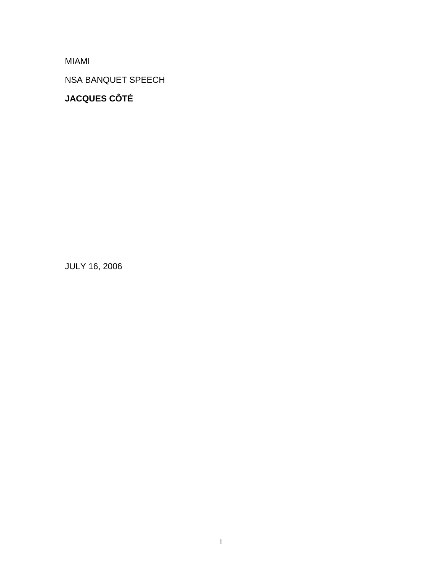MIAMI

NSA BANQUET SPEECH

**JACQUES CÔTÉ** 

JULY 16, 2006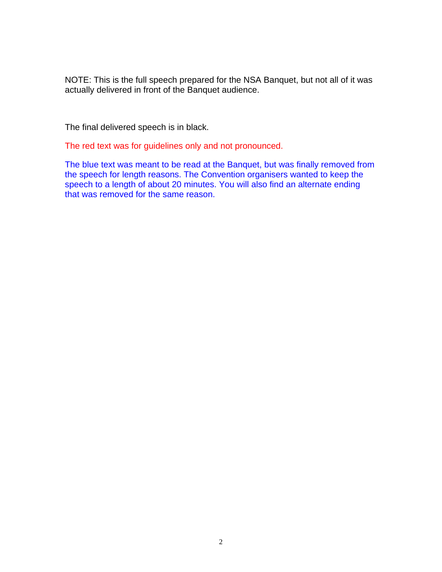NOTE: This is the full speech prepared for the NSA Banquet, but not all of it was actually delivered in front of the Banquet audience.

The final delivered speech is in black.

The red text was for guidelines only and not pronounced.

The blue text was meant to be read at the Banquet, but was finally removed from the speech for length reasons. The Convention organisers wanted to keep the speech to a length of about 20 minutes. You will also find an alternate ending that was removed for the same reason.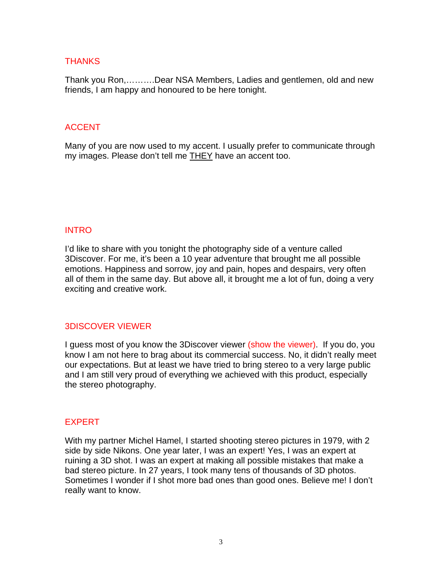## **THANKS**

Thank you Ron,……….Dear NSA Members, Ladies and gentlemen, old and new friends, I am happy and honoured to be here tonight.

## **ACCENT**

Many of you are now used to my accent. I usually prefer to communicate through my images. Please don't tell me THEY have an accent too.

#### INTRO

I'd like to share with you tonight the photography side of a venture called 3Discover. For me, it's been a 10 year adventure that brought me all possible emotions. Happiness and sorrow, joy and pain, hopes and despairs, very often all of them in the same day. But above all, it brought me a lot of fun, doing a very exciting and creative work.

### 3DISCOVER VIEWER

I guess most of you know the 3Discover viewer (show the viewer). If you do, you know I am not here to brag about its commercial success. No, it didn't really meet our expectations. But at least we have tried to bring stereo to a very large public and I am still very proud of everything we achieved with this product, especially the stereo photography.

### **EXPERT**

With my partner Michel Hamel, I started shooting stereo pictures in 1979, with 2 side by side Nikons. One year later, I was an expert! Yes, I was an expert at ruining a 3D shot. I was an expert at making all possible mistakes that make a bad stereo picture. In 27 years, I took many tens of thousands of 3D photos. Sometimes I wonder if I shot more bad ones than good ones. Believe me! I don't really want to know.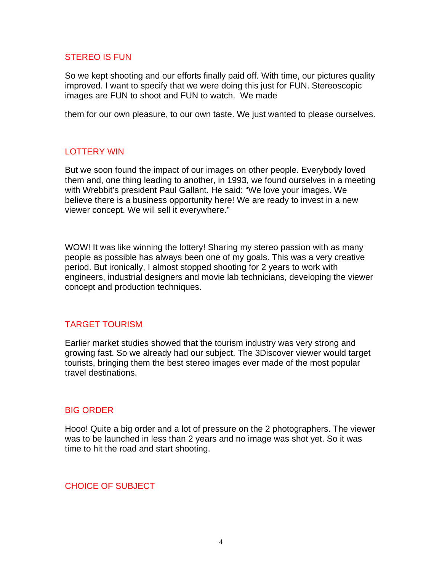#### STEREO IS FUN

So we kept shooting and our efforts finally paid off. With time, our pictures quality improved. I want to specify that we were doing this just for FUN. Stereoscopic images are FUN to shoot and FUN to watch. We made

them for our own pleasure, to our own taste. We just wanted to please ourselves.

### LOTTERY WIN

But we soon found the impact of our images on other people. Everybody loved them and, one thing leading to another, in 1993, we found ourselves in a meeting with Wrebbit's president Paul Gallant. He said: "We love your images. We believe there is a business opportunity here! We are ready to invest in a new viewer concept. We will sell it everywhere."

WOW! It was like winning the lottery! Sharing my stereo passion with as many people as possible has always been one of my goals. This was a very creative period. But ironically, I almost stopped shooting for 2 years to work with engineers, industrial designers and movie lab technicians, developing the viewer concept and production techniques.

### TARGET TOURISM

Earlier market studies showed that the tourism industry was very strong and growing fast. So we already had our subject. The 3Discover viewer would target tourists, bringing them the best stereo images ever made of the most popular travel destinations.

### BIG ORDER

Hooo! Quite a big order and a lot of pressure on the 2 photographers. The viewer was to be launched in less than 2 years and no image was shot yet. So it was time to hit the road and start shooting.

#### CHOICE OF SUBJECT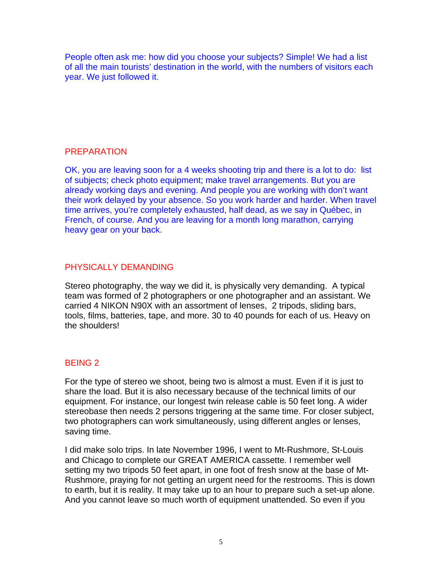People often ask me: how did you choose your subjects? Simple! We had a list of all the main tourists' destination in the world, with the numbers of visitors each year. We just followed it.

## PREPARATION

OK, you are leaving soon for a 4 weeks shooting trip and there is a lot to do: list of subjects; check photo equipment; make travel arrangements. But you are already working days and evening. And people you are working with don't want their work delayed by your absence. So you work harder and harder. When travel time arrives, you're completely exhausted, half dead, as we say in Québec, in French, of course. And you are leaving for a month long marathon, carrying heavy gear on your back.

# PHYSICALLY DEMANDING

Stereo photography, the way we did it, is physically very demanding. A typical team was formed of 2 photographers or one photographer and an assistant. We carried 4 NIKON N90X with an assortment of lenses, 2 tripods, sliding bars, tools, films, batteries, tape, and more. 30 to 40 pounds for each of us. Heavy on the shoulders!

# BEING 2

For the type of stereo we shoot, being two is almost a must. Even if it is just to share the load. But it is also necessary because of the technical limits of our equipment. For instance, our longest twin release cable is 50 feet long. A wider stereobase then needs 2 persons triggering at the same time. For closer subject, two photographers can work simultaneously, using different angles or lenses, saving time.

I did make solo trips. In late November 1996, I went to Mt-Rushmore, St-Louis and Chicago to complete our GREAT AMERICA cassette. I remember well setting my two tripods 50 feet apart, in one foot of fresh snow at the base of Mt-Rushmore, praying for not getting an urgent need for the restrooms. This is down to earth, but it is reality. It may take up to an hour to prepare such a set-up alone. And you cannot leave so much worth of equipment unattended. So even if you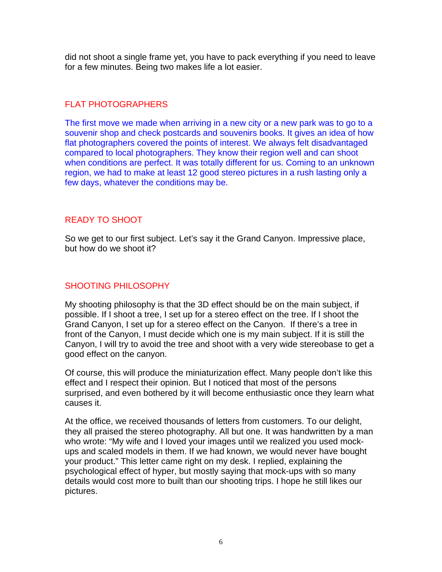did not shoot a single frame yet, you have to pack everything if you need to leave for a few minutes. Being two makes life a lot easier.

# FLAT PHOTOGRAPHERS

The first move we made when arriving in a new city or a new park was to go to a souvenir shop and check postcards and souvenirs books. It gives an idea of how flat photographers covered the points of interest. We always felt disadvantaged compared to local photographers. They know their region well and can shoot when conditions are perfect. It was totally different for us. Coming to an unknown region, we had to make at least 12 good stereo pictures in a rush lasting only a few days, whatever the conditions may be.

## READY TO SHOOT

So we get to our first subject. Let's say it the Grand Canyon. Impressive place, but how do we shoot it?

## SHOOTING PHILOSOPHY

My shooting philosophy is that the 3D effect should be on the main subject, if possible. If I shoot a tree, I set up for a stereo effect on the tree. If I shoot the Grand Canyon, I set up for a stereo effect on the Canyon. If there's a tree in front of the Canyon, I must decide which one is my main subject. If it is still the Canyon, I will try to avoid the tree and shoot with a very wide stereobase to get a good effect on the canyon.

Of course, this will produce the miniaturization effect. Many people don't like this effect and I respect their opinion. But I noticed that most of the persons surprised, and even bothered by it will become enthusiastic once they learn what causes it.

At the office, we received thousands of letters from customers. To our delight, they all praised the stereo photography. All but one. It was handwritten by a man who wrote: "My wife and I loved your images until we realized you used mockups and scaled models in them. If we had known, we would never have bought your product." This letter came right on my desk. I replied, explaining the psychological effect of hyper, but mostly saying that mock-ups with so many details would cost more to built than our shooting trips. I hope he still likes our pictures.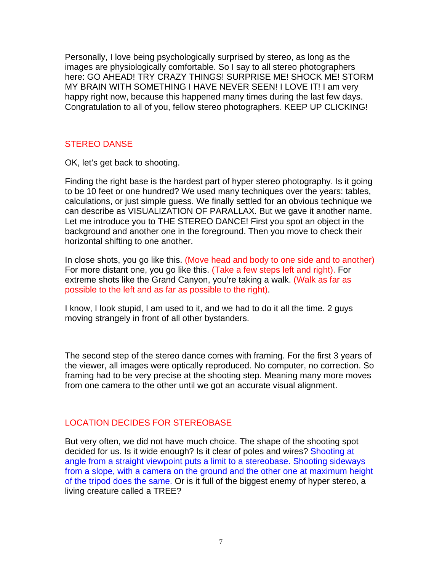Personally, I love being psychologically surprised by stereo, as long as the images are physiologically comfortable. So I say to all stereo photographers here: GO AHEAD! TRY CRAZY THINGS! SURPRISE ME! SHOCK ME! STORM MY BRAIN WITH SOMETHING I HAVE NEVER SEEN! I LOVE IT! I am very happy right now, because this happened many times during the last few days. Congratulation to all of you, fellow stereo photographers. KEEP UP CLICKING!

#### STEREO DANSE

OK, let's get back to shooting.

Finding the right base is the hardest part of hyper stereo photography. Is it going to be 10 feet or one hundred? We used many techniques over the years: tables, calculations, or just simple guess. We finally settled for an obvious technique we can describe as VISUALIZATION OF PARALLAX. But we gave it another name. Let me introduce you to THE STEREO DANCE! First you spot an object in the background and another one in the foreground. Then you move to check their horizontal shifting to one another.

In close shots, you go like this. (Move head and body to one side and to another) For more distant one, you go like this. (Take a few steps left and right). For extreme shots like the Grand Canyon, you're taking a walk. (Walk as far as possible to the left and as far as possible to the right).

I know, I look stupid, I am used to it, and we had to do it all the time. 2 guys moving strangely in front of all other bystanders.

The second step of the stereo dance comes with framing. For the first 3 years of the viewer, all images were optically reproduced. No computer, no correction. So framing had to be very precise at the shooting step. Meaning many more moves from one camera to the other until we got an accurate visual alignment.

### LOCATION DECIDES FOR STEREOBASE

But very often, we did not have much choice. The shape of the shooting spot decided for us. Is it wide enough? Is it clear of poles and wires? Shooting at angle from a straight viewpoint puts a limit to a stereobase. Shooting sideways from a slope, with a camera on the ground and the other one at maximum height of the tripod does the same. Or is it full of the biggest enemy of hyper stereo, a living creature called a TREE?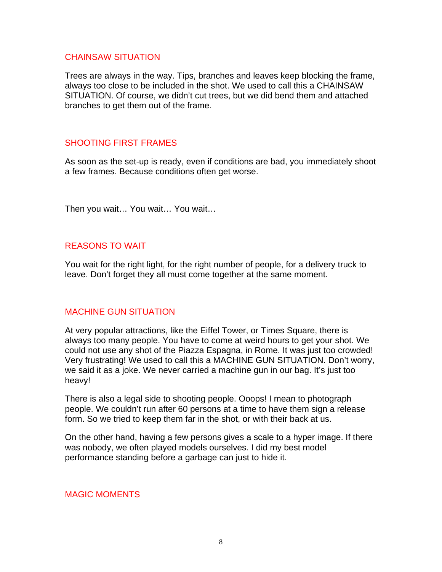#### CHAINSAW SITUATION

Trees are always in the way. Tips, branches and leaves keep blocking the frame, always too close to be included in the shot. We used to call this a CHAINSAW SITUATION. Of course, we didn't cut trees, but we did bend them and attached branches to get them out of the frame.

### SHOOTING FIRST FRAMES

As soon as the set-up is ready, even if conditions are bad, you immediately shoot a few frames. Because conditions often get worse.

Then you wait… You wait… You wait…

## REASONS TO WAIT

You wait for the right light, for the right number of people, for a delivery truck to leave. Don't forget they all must come together at the same moment.

### MACHINE GUN SITUATION

At very popular attractions, like the Eiffel Tower, or Times Square, there is always too many people. You have to come at weird hours to get your shot. We could not use any shot of the Piazza Espagna, in Rome. It was just too crowded! Very frustrating! We used to call this a MACHINE GUN SITUATION. Don't worry, we said it as a joke. We never carried a machine gun in our bag. It's just too heavy!

There is also a legal side to shooting people. Ooops! I mean to photograph people. We couldn't run after 60 persons at a time to have them sign a release form. So we tried to keep them far in the shot, or with their back at us.

On the other hand, having a few persons gives a scale to a hyper image. If there was nobody, we often played models ourselves. I did my best model performance standing before a garbage can just to hide it.

### MAGIC MOMENTS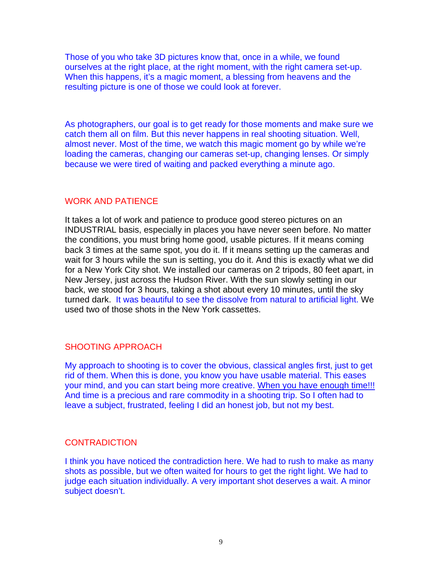Those of you who take 3D pictures know that, once in a while, we found ourselves at the right place, at the right moment, with the right camera set-up. When this happens, it's a magic moment, a blessing from heavens and the resulting picture is one of those we could look at forever.

As photographers, our goal is to get ready for those moments and make sure we catch them all on film. But this never happens in real shooting situation. Well, almost never. Most of the time, we watch this magic moment go by while we're loading the cameras, changing our cameras set-up, changing lenses. Or simply because we were tired of waiting and packed everything a minute ago.

#### WORK AND PATIENCE

It takes a lot of work and patience to produce good stereo pictures on an INDUSTRIAL basis, especially in places you have never seen before. No matter the conditions, you must bring home good, usable pictures. If it means coming back 3 times at the same spot, you do it. If it means setting up the cameras and wait for 3 hours while the sun is setting, you do it. And this is exactly what we did for a New York City shot. We installed our cameras on 2 tripods, 80 feet apart, in New Jersey, just across the Hudson River. With the sun slowly setting in our back, we stood for 3 hours, taking a shot about every 10 minutes, until the sky turned dark. It was beautiful to see the dissolve from natural to artificial light. We used two of those shots in the New York cassettes.

#### SHOOTING APPROACH

My approach to shooting is to cover the obvious, classical angles first, just to get rid of them. When this is done, you know you have usable material. This eases your mind, and you can start being more creative. When you have enough time!!! And time is a precious and rare commodity in a shooting trip. So I often had to leave a subject, frustrated, feeling I did an honest job, but not my best.

#### **CONTRADICTION**

I think you have noticed the contradiction here. We had to rush to make as many shots as possible, but we often waited for hours to get the right light. We had to judge each situation individually. A very important shot deserves a wait. A minor subject doesn't.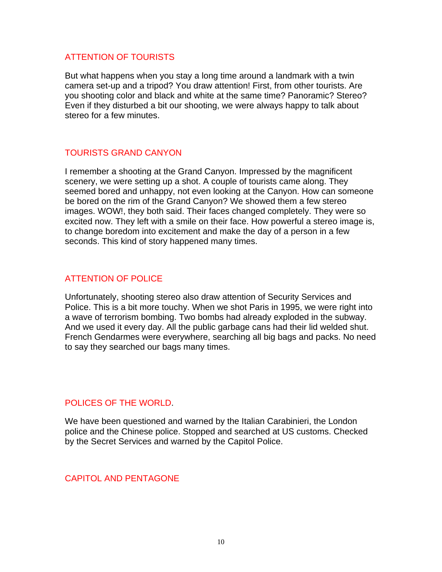#### ATTENTION OF TOURISTS

But what happens when you stay a long time around a landmark with a twin camera set-up and a tripod? You draw attention! First, from other tourists. Are you shooting color and black and white at the same time? Panoramic? Stereo? Even if they disturbed a bit our shooting, we were always happy to talk about stereo for a few minutes.

### TOURISTS GRAND CANYON

I remember a shooting at the Grand Canyon. Impressed by the magnificent scenery, we were setting up a shot. A couple of tourists came along. They seemed bored and unhappy, not even looking at the Canyon. How can someone be bored on the rim of the Grand Canyon? We showed them a few stereo images. WOW!, they both said. Their faces changed completely. They were so excited now. They left with a smile on their face. How powerful a stereo image is, to change boredom into excitement and make the day of a person in a few seconds. This kind of story happened many times.

### ATTENTION OF POLICE

Unfortunately, shooting stereo also draw attention of Security Services and Police. This is a bit more touchy. When we shot Paris in 1995, we were right into a wave of terrorism bombing. Two bombs had already exploded in the subway. And we used it every day. All the public garbage cans had their lid welded shut. French Gendarmes were everywhere, searching all big bags and packs. No need to say they searched our bags many times.

#### POLICES OF THE WORLD.

We have been questioned and warned by the Italian Carabinieri, the London police and the Chinese police. Stopped and searched at US customs. Checked by the Secret Services and warned by the Capitol Police.

#### CAPITOL AND PENTAGONE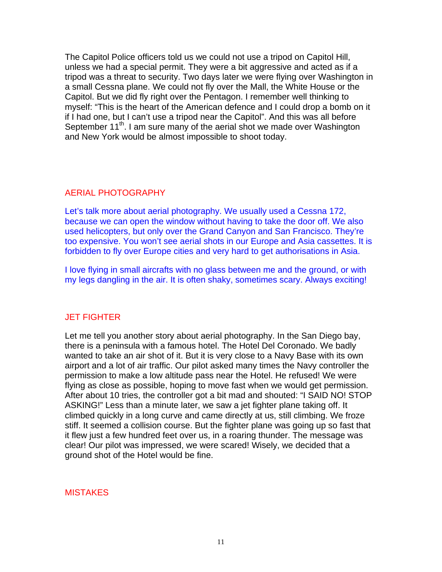The Capitol Police officers told us we could not use a tripod on Capitol Hill, unless we had a special permit. They were a bit aggressive and acted as if a tripod was a threat to security. Two days later we were flying over Washington in a small Cessna plane. We could not fly over the Mall, the White House or the Capitol. But we did fly right over the Pentagon. I remember well thinking to myself: "This is the heart of the American defence and I could drop a bomb on it if I had one, but I can't use a tripod near the Capitol". And this was all before September 11<sup>th</sup>. I am sure many of the aerial shot we made over Washington and New York would be almost impossible to shoot today.

### AERIAL PHOTOGRAPHY

Let's talk more about aerial photography. We usually used a Cessna 172, because we can open the window without having to take the door off. We also used helicopters, but only over the Grand Canyon and San Francisco. They're too expensive. You won't see aerial shots in our Europe and Asia cassettes. It is forbidden to fly over Europe cities and very hard to get authorisations in Asia.

I love flying in small aircrafts with no glass between me and the ground, or with my legs dangling in the air. It is often shaky, sometimes scary. Always exciting!

# JET FIGHTER

Let me tell you another story about aerial photography. In the San Diego bay, there is a peninsula with a famous hotel. The Hotel Del Coronado. We badly wanted to take an air shot of it. But it is very close to a Navy Base with its own airport and a lot of air traffic. Our pilot asked many times the Navy controller the permission to make a low altitude pass near the Hotel. He refused! We were flying as close as possible, hoping to move fast when we would get permission. After about 10 tries, the controller got a bit mad and shouted: "I SAID NO! STOP ASKING!" Less than a minute later, we saw a jet fighter plane taking off. It climbed quickly in a long curve and came directly at us, still climbing. We froze stiff. It seemed a collision course. But the fighter plane was going up so fast that it flew just a few hundred feet over us, in a roaring thunder. The message was clear! Our pilot was impressed, we were scared! Wisely, we decided that a ground shot of the Hotel would be fine.

### **MISTAKES**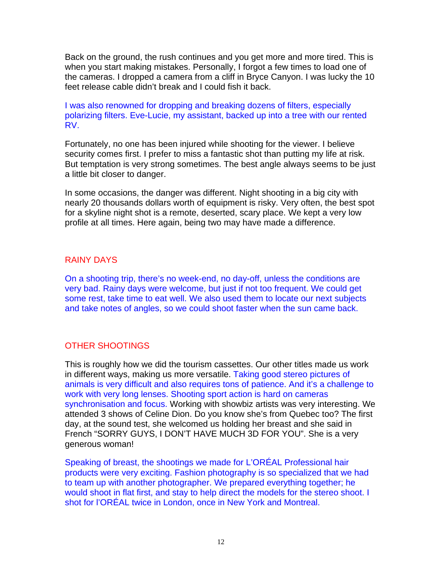Back on the ground, the rush continues and you get more and more tired. This is when you start making mistakes. Personally, I forgot a few times to load one of the cameras. I dropped a camera from a cliff in Bryce Canyon. I was lucky the 10 feet release cable didn't break and I could fish it back.

I was also renowned for dropping and breaking dozens of filters, especially polarizing filters. Eve-Lucie, my assistant, backed up into a tree with our rented RV.

Fortunately, no one has been injured while shooting for the viewer. I believe security comes first. I prefer to miss a fantastic shot than putting my life at risk. But temptation is very strong sometimes. The best angle always seems to be just a little bit closer to danger.

In some occasions, the danger was different. Night shooting in a big city with nearly 20 thousands dollars worth of equipment is risky. Very often, the best spot for a skyline night shot is a remote, deserted, scary place. We kept a very low profile at all times. Here again, being two may have made a difference.

### RAINY DAYS

On a shooting trip, there's no week-end, no day-off, unless the conditions are very bad. Rainy days were welcome, but just if not too frequent. We could get some rest, take time to eat well. We also used them to locate our next subjects and take notes of angles, so we could shoot faster when the sun came back.

# OTHER SHOOTINGS

This is roughly how we did the tourism cassettes. Our other titles made us work in different ways, making us more versatile. Taking good stereo pictures of animals is very difficult and also requires tons of patience. And it's a challenge to work with very long lenses. Shooting sport action is hard on cameras synchronisation and focus. Working with showbiz artists was very interesting. We attended 3 shows of Celine Dion. Do you know she's from Quebec too? The first day, at the sound test, she welcomed us holding her breast and she said in French "SORRY GUYS, I DON'T HAVE MUCH 3D FOR YOU". She is a very generous woman!

Speaking of breast, the shootings we made for L'ORÉAL Professional hair products were very exciting. Fashion photography is so specialized that we had to team up with another photographer. We prepared everything together; he would shoot in flat first, and stay to help direct the models for the stereo shoot. I shot for l'ORÉAL twice in London, once in New York and Montreal.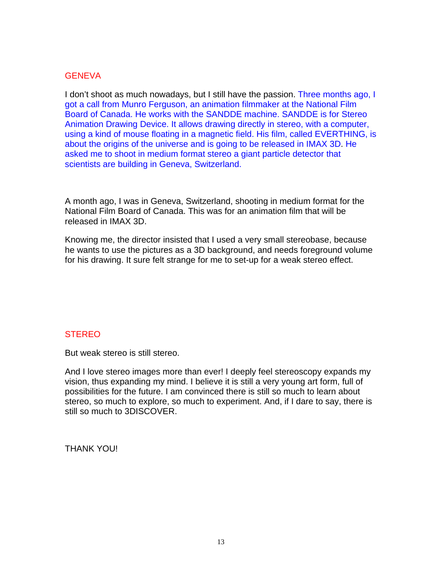#### **GENEVA**

I don't shoot as much nowadays, but I still have the passion. Three months ago, I got a call from Munro Ferguson, an animation filmmaker at the National Film Board of Canada. He works with the SANDDE machine. SANDDE is for Stereo Animation Drawing Device. It allows drawing directly in stereo, with a computer, using a kind of mouse floating in a magnetic field. His film, called EVERTHING, is about the origins of the universe and is going to be released in IMAX 3D. He asked me to shoot in medium format stereo a giant particle detector that scientists are building in Geneva, Switzerland.

A month ago, I was in Geneva, Switzerland, shooting in medium format for the National Film Board of Canada. This was for an animation film that will be released in IMAX 3D.

Knowing me, the director insisted that I used a very small stereobase, because he wants to use the pictures as a 3D background, and needs foreground volume for his drawing. It sure felt strange for me to set-up for a weak stereo effect.

### **STEREO**

But weak stereo is still stereo.

And I love stereo images more than ever! I deeply feel stereoscopy expands my vision, thus expanding my mind. I believe it is still a very young art form, full of possibilities for the future. I am convinced there is still so much to learn about stereo, so much to explore, so much to experiment. And, if I dare to say, there is still so much to 3DISCOVER.

THANK YOU!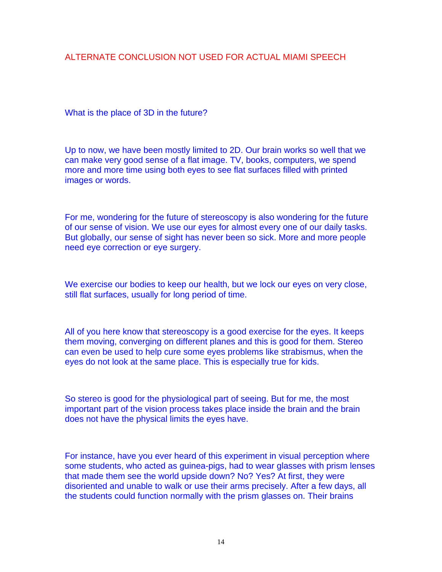# ALTERNATE CONCLUSION NOT USED FOR ACTUAL MIAMI SPEECH

What is the place of 3D in the future?

Up to now, we have been mostly limited to 2D. Our brain works so well that we can make very good sense of a flat image. TV, books, computers, we spend more and more time using both eyes to see flat surfaces filled with printed images or words.

For me, wondering for the future of stereoscopy is also wondering for the future of our sense of vision. We use our eyes for almost every one of our daily tasks. But globally, our sense of sight has never been so sick. More and more people need eye correction or eye surgery.

We exercise our bodies to keep our health, but we lock our eyes on very close, still flat surfaces, usually for long period of time.

All of you here know that stereoscopy is a good exercise for the eyes. It keeps them moving, converging on different planes and this is good for them. Stereo can even be used to help cure some eyes problems like strabismus, when the eyes do not look at the same place. This is especially true for kids.

So stereo is good for the physiological part of seeing. But for me, the most important part of the vision process takes place inside the brain and the brain does not have the physical limits the eyes have.

For instance, have you ever heard of this experiment in visual perception where some students, who acted as guinea-pigs, had to wear glasses with prism lenses that made them see the world upside down? No? Yes? At first, they were disoriented and unable to walk or use their arms precisely. After a few days, all the students could function normally with the prism glasses on. Their brains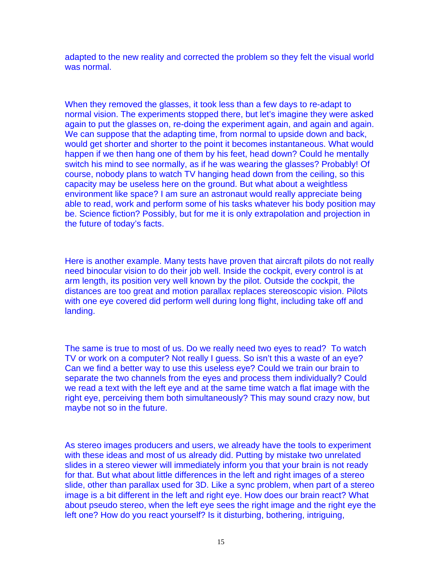adapted to the new reality and corrected the problem so they felt the visual world was normal.

When they removed the glasses, it took less than a few days to re-adapt to normal vision. The experiments stopped there, but let's imagine they were asked again to put the glasses on, re-doing the experiment again, and again and again. We can suppose that the adapting time, from normal to upside down and back, would get shorter and shorter to the point it becomes instantaneous. What would happen if we then hang one of them by his feet, head down? Could he mentally switch his mind to see normally, as if he was wearing the glasses? Probably! Of course, nobody plans to watch TV hanging head down from the ceiling, so this capacity may be useless here on the ground. But what about a weightless environment like space? I am sure an astronaut would really appreciate being able to read, work and perform some of his tasks whatever his body position may be. Science fiction? Possibly, but for me it is only extrapolation and projection in the future of today's facts.

Here is another example. Many tests have proven that aircraft pilots do not really need binocular vision to do their job well. Inside the cockpit, every control is at arm length, its position very well known by the pilot. Outside the cockpit, the distances are too great and motion parallax replaces stereoscopic vision. Pilots with one eye covered did perform well during long flight, including take off and landing.

The same is true to most of us. Do we really need two eyes to read? To watch TV or work on a computer? Not really I guess. So isn't this a waste of an eye? Can we find a better way to use this useless eye? Could we train our brain to separate the two channels from the eyes and process them individually? Could we read a text with the left eye and at the same time watch a flat image with the right eye, perceiving them both simultaneously? This may sound crazy now, but maybe not so in the future.

As stereo images producers and users, we already have the tools to experiment with these ideas and most of us already did. Putting by mistake two unrelated slides in a stereo viewer will immediately inform you that your brain is not ready for that. But what about little differences in the left and right images of a stereo slide, other than parallax used for 3D. Like a sync problem, when part of a stereo image is a bit different in the left and right eye. How does our brain react? What about pseudo stereo, when the left eye sees the right image and the right eye the left one? How do you react yourself? Is it disturbing, bothering, intriguing,